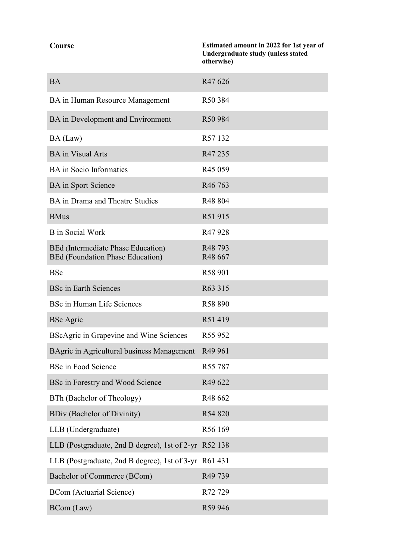| Course | Estimated amount in 2022 for 1st year of |
|--------|------------------------------------------|
|        | Undergraduate study (unless stated       |
|        | otherwise)                               |

| <b>BA</b>                                                              | R47 626                        |
|------------------------------------------------------------------------|--------------------------------|
| BA in Human Resource Management                                        | R50 384                        |
| BA in Development and Environment                                      | R50 984                        |
| BA (Law)                                                               | R57 132                        |
| <b>BA</b> in Visual Arts                                               | R47 235                        |
| <b>BA</b> in Socio Informatics                                         | R <sub>45</sub> 059            |
| <b>BA</b> in Sport Science                                             | R <sub>46</sub> 763            |
| BA in Drama and Theatre Studies                                        | R48 804                        |
| <b>BMus</b>                                                            | R51 915                        |
| <b>B</b> in Social Work                                                | R47 928                        |
| BEd (Intermediate Phase Education)<br>BEd (Foundation Phase Education) | R <sub>48</sub> 793<br>R48 667 |
| <b>BSc</b>                                                             | R58 901                        |
| <b>BSc in Earth Sciences</b>                                           | R63 315                        |
| BSc in Human Life Sciences                                             | R58 890                        |
| <b>BSc</b> Agric                                                       | R51419                         |
| BScAgric in Grapevine and Wine Sciences                                | R55 952                        |
| BAgric in Agricultural business Management                             | R <sub>49</sub> 961            |
| <b>BSc in Food Science</b>                                             | R <sub>55</sub> 787            |
| BSc in Forestry and Wood Science                                       | R49 622                        |
| BTh (Bachelor of Theology)                                             | R48 662                        |
| <b>BDiv (Bachelor of Divinity)</b>                                     | R54 820                        |
| LLB (Undergraduate)                                                    | R56 169                        |
| LLB (Postgraduate, 2nd B degree), 1st of 2-yr R52 138                  |                                |
| LLB (Postgraduate, 2nd B degree), 1st of 3-yr R61 431                  |                                |
| Bachelor of Commerce (BCom)                                            | R49 739                        |
| <b>BCom</b> (Actuarial Science)                                        | R72729                         |
| BCom (Law)                                                             | R59 946                        |